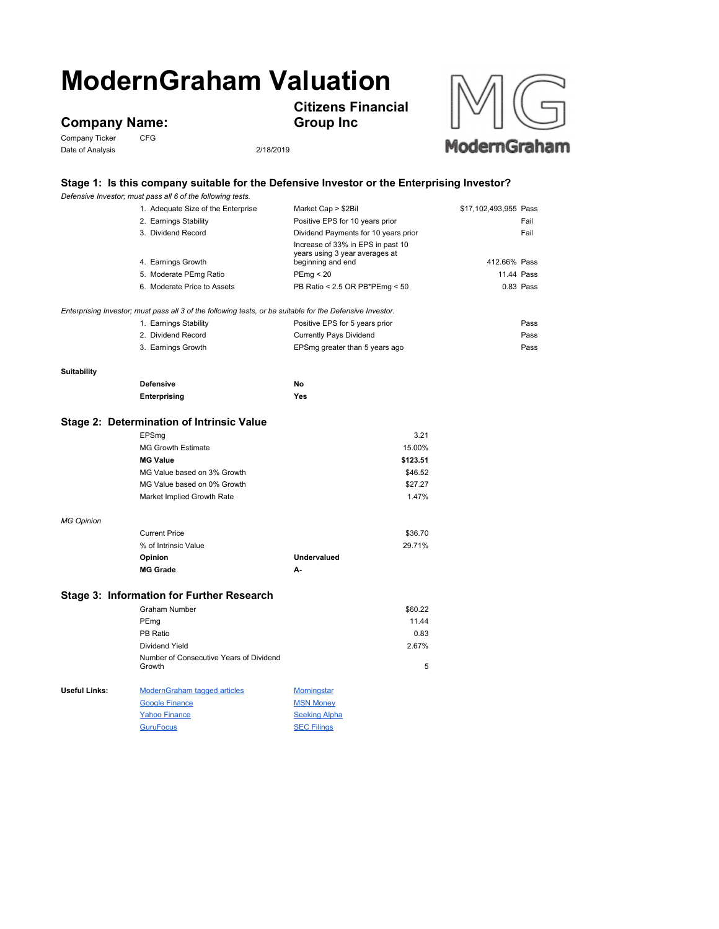# **ModernGraham Valuation**

## **Company Name:**<br>Company Ticker CFG

Company Ticker Date of Analysis 2/18/2019

**Citizens Financial** 

**Group Inc**



### **Stage 1: Is this company suitable for the Defensive Investor or the Enterprising Investor?**

|                                                                                                           | Defensive Investor; must pass all 6 of the following tests. |                                                     |                       |  |  |
|-----------------------------------------------------------------------------------------------------------|-------------------------------------------------------------|-----------------------------------------------------|-----------------------|--|--|
|                                                                                                           | 1. Adequate Size of the Enterprise                          | Market Cap > \$2Bil                                 | \$17,102,493,955 Pass |  |  |
|                                                                                                           | 2. Earnings Stability                                       | Positive EPS for 10 years prior                     | Fail                  |  |  |
|                                                                                                           | 3. Dividend Record                                          | Dividend Payments for 10 years prior                | Fail                  |  |  |
|                                                                                                           |                                                             | Increase of 33% in EPS in past 10                   |                       |  |  |
|                                                                                                           | 4. Earnings Growth                                          | years using 3 year averages at<br>beginning and end | 412.66% Pass          |  |  |
|                                                                                                           | 5. Moderate PEmg Ratio                                      | PEmg < 20                                           | 11.44 Pass            |  |  |
|                                                                                                           | 6. Moderate Price to Assets                                 | PB Ratio < 2.5 OR PB*PEmg < 50                      | 0.83 Pass             |  |  |
| Enterprising Investor; must pass all 3 of the following tests, or be suitable for the Defensive Investor. |                                                             |                                                     |                       |  |  |
|                                                                                                           | 1. Earnings Stability                                       | Positive EPS for 5 years prior                      | Pass                  |  |  |
|                                                                                                           | 2. Dividend Record                                          | Currently Pays Dividend                             | Pass                  |  |  |
|                                                                                                           | 3. Earnings Growth                                          | EPSmg greater than 5 years ago                      | Pass                  |  |  |
| Suitability                                                                                               |                                                             |                                                     |                       |  |  |
|                                                                                                           | <b>Defensive</b>                                            | No                                                  |                       |  |  |
|                                                                                                           | Enterprising                                                | Yes                                                 |                       |  |  |
|                                                                                                           | Stage 2: Determination of Intrinsic Value                   |                                                     |                       |  |  |
|                                                                                                           | EPSmg                                                       | 3.21                                                |                       |  |  |
|                                                                                                           | <b>MG Growth Estimate</b>                                   | 15.00%                                              |                       |  |  |
|                                                                                                           | <b>MG Value</b>                                             | \$123.51                                            |                       |  |  |
|                                                                                                           | MG Value based on 3% Growth                                 | \$46.52                                             |                       |  |  |
|                                                                                                           | MG Value based on 0% Growth                                 | \$27.27                                             |                       |  |  |
|                                                                                                           | Market Implied Growth Rate                                  | 1.47%                                               |                       |  |  |
|                                                                                                           |                                                             |                                                     |                       |  |  |
| <b>MG Opinion</b>                                                                                         |                                                             |                                                     |                       |  |  |
|                                                                                                           | <b>Current Price</b><br>% of Intrinsic Value                | \$36.70<br>29.71%                                   |                       |  |  |
|                                                                                                           |                                                             | <b>Undervalued</b>                                  |                       |  |  |
|                                                                                                           | Opinion<br><b>MG Grade</b>                                  | А-                                                  |                       |  |  |
|                                                                                                           |                                                             |                                                     |                       |  |  |
| Stage 3: Information for Further Research                                                                 |                                                             |                                                     |                       |  |  |
|                                                                                                           | <b>Graham Number</b>                                        | \$60.22                                             |                       |  |  |
|                                                                                                           | PEmg                                                        | 11.44                                               |                       |  |  |
|                                                                                                           | PB Ratio                                                    | 0.83                                                |                       |  |  |
|                                                                                                           | Dividend Yield                                              | 2.67%                                               |                       |  |  |
|                                                                                                           | Number of Consecutive Years of Dividend<br>Growth           | 5                                                   |                       |  |  |
| Useful Links:                                                                                             | <b>ModernGraham tagged articles</b>                         | <b>Morningstar</b>                                  |                       |  |  |
|                                                                                                           | <b>Google Finance</b>                                       | <b>MSN Money</b>                                    |                       |  |  |
|                                                                                                           | <b>Yahoo Finance</b>                                        | <b>Seeking Alpha</b>                                |                       |  |  |

GuruFocus SEC Filings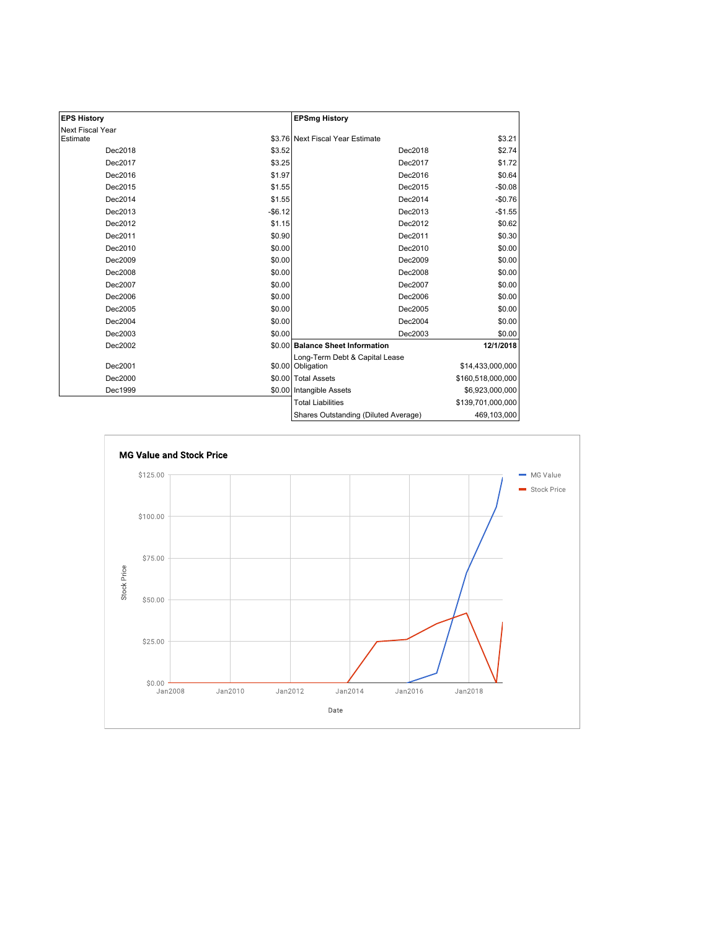| <b>EPS History</b> |          | <b>EPSmg History</b>                                |                   |
|--------------------|----------|-----------------------------------------------------|-------------------|
| Next Fiscal Year   |          |                                                     |                   |
| Estimate           |          | \$3.76 Next Fiscal Year Estimate                    | \$3.21            |
| Dec2018            | \$3.52   | Dec2018                                             | \$2.74            |
| Dec2017            | \$3.25   | Dec2017                                             | \$1.72            |
| Dec2016            | \$1.97   | Dec2016                                             | \$0.64            |
| Dec2015            | \$1.55   | Dec2015                                             | $-$0.08$          |
| Dec2014            | \$1.55   | Dec2014                                             | $-$0.76$          |
| Dec2013            | $-$6.12$ | Dec2013                                             | $-$1.55$          |
| Dec2012            | \$1.15   | Dec2012                                             | \$0.62            |
| Dec2011            | \$0.90   | Dec2011                                             | \$0.30            |
| Dec2010            | \$0.00   | Dec2010                                             | \$0.00            |
| Dec2009            | \$0.00   | Dec2009                                             | \$0.00            |
| Dec2008            | \$0.00   | Dec2008                                             | \$0.00            |
| Dec2007            | \$0.00   | Dec2007                                             | \$0.00            |
| Dec2006            | \$0.00   | Dec2006                                             | \$0.00            |
| Dec2005            | \$0.00   | Dec2005                                             | \$0.00            |
| Dec2004            | \$0.00   | Dec2004                                             | \$0.00            |
| Dec2003            | \$0.00   | Dec2003                                             | \$0.00            |
| Dec2002            |          | \$0.00 Balance Sheet Information                    | 12/1/2018         |
| Dec2001            |          | Long-Term Debt & Capital Lease<br>\$0.00 Obligation | \$14,433,000,000  |
| Dec2000            |          | \$0.00 Total Assets                                 | \$160,518,000,000 |
| Dec1999            |          | \$0.00 Intangible Assets                            | \$6,923,000,000   |
|                    |          | <b>Total Liabilities</b>                            | \$139,701,000,000 |
|                    |          | Shares Outstanding (Diluted Average)                | 469,103,000       |